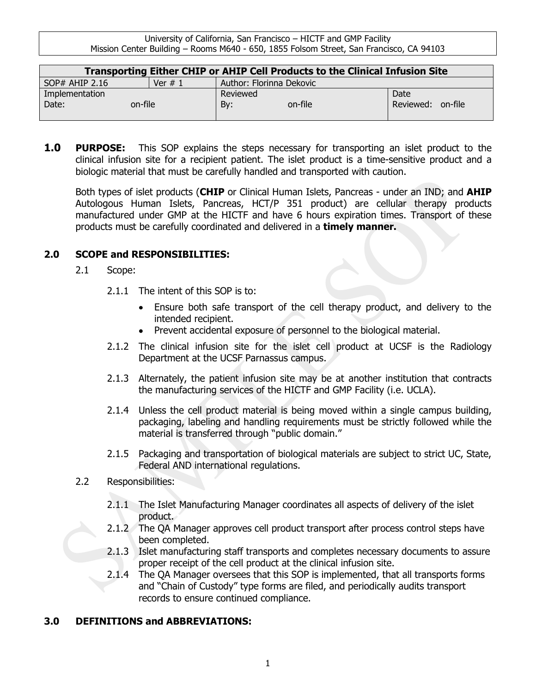| Transporting Either CHIP or AHIP Cell Products to the Clinical Infusion Site |           |                          |                      |
|------------------------------------------------------------------------------|-----------|--------------------------|----------------------|
| $SOP#$ AHIP 2.16                                                             | Ver $# 1$ | Author: Florinna Dekovic |                      |
| Implementation                                                               |           | Reviewed                 | Date                 |
| Date:<br>on-file                                                             |           | Bv:<br>on-file           | on-file<br>Reviewed: |
|                                                                              |           |                          |                      |

**1.0 PURPOSE:** This SOP explains the steps necessary for transporting an islet product to the clinical infusion site for a recipient patient. The islet product is a time-sensitive product and a biologic material that must be carefully handled and transported with caution.

Both types of islet products (**CHIP** or Clinical Human Islets, Pancreas - under an IND; and **AHIP**  Autologous Human Islets, Pancreas, HCT/P 351 product) are cellular therapy products manufactured under GMP at the HICTF and have 6 hours expiration times. Transport of these products must be carefully coordinated and delivered in a **timely manner.** 

# **2.0 SCOPE and RESPONSIBILITIES:**

- 2.1 Scope:
	- 2.1.1 The intent of this SOP is to:
		- Ensure both safe transport of the cell therapy product, and delivery to the intended recipient.
		- Prevent accidental exposure of personnel to the biological material.
	- 2.1.2 The clinical infusion site for the islet cell product at UCSF is the Radiology Department at the UCSF Parnassus campus.
	- 2.1.3 Alternately, the patient infusion site may be at another institution that contracts the manufacturing services of the HICTF and GMP Facility (i.e. UCLA).
	- 2.1.4 Unless the cell product material is being moved within a single campus building, packaging, labeling and handling requirements must be strictly followed while the material is transferred through "public domain."
	- 2.1.5 Packaging and transportation of biological materials are subject to strict UC, State, Federal AND international regulations.
- 2.2 Responsibilities:
	- 2.1.1 The Islet Manufacturing Manager coordinates all aspects of delivery of the islet product.
	- 2.1.2 The QA Manager approves cell product transport after process control steps have been completed.
	- 2.1.3 Islet manufacturing staff transports and completes necessary documents to assure proper receipt of the cell product at the clinical infusion site.
	- 2.1.4 The QA Manager oversees that this SOP is implemented, that all transports forms and "Chain of Custody" type forms are filed, and periodically audits transport records to ensure continued compliance.

# **3.0 DEFINITIONS and ABBREVIATIONS:**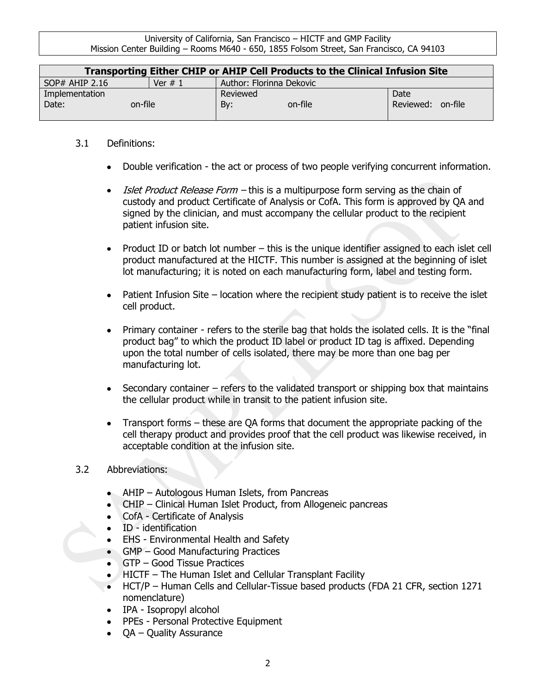| Transporting Either CHIP or AHIP Cell Products to the Clinical Infusion Site |           |                          |           |         |
|------------------------------------------------------------------------------|-----------|--------------------------|-----------|---------|
| $SOP#$ AHIP 2.16                                                             | Ver $# 1$ | Author: Florinna Dekovic |           |         |
| Implementation                                                               |           | Reviewed                 | Date      |         |
| Date:<br>on-file                                                             |           | By:<br>on-file           | Reviewed: | on-file |
|                                                                              |           |                          |           |         |

### 3.1 Definitions:

- Double verification the act or process of two people verifying concurrent information.
- Islet Product Release Form this is a multipurpose form serving as the chain of custody and product Certificate of Analysis or CofA. This form is approved by QA and signed by the clinician, and must accompany the cellular product to the recipient patient infusion site.
- Product ID or batch lot number this is the unique identifier assigned to each islet cell product manufactured at the HICTF. This number is assigned at the beginning of islet lot manufacturing; it is noted on each manufacturing form, label and testing form.
- Patient Infusion Site location where the recipient study patient is to receive the islet cell product.
- Primary container refers to the sterile bag that holds the isolated cells. It is the "final product bag" to which the product ID label or product ID tag is affixed. Depending upon the total number of cells isolated, there may be more than one bag per manufacturing lot.
- Secondary container refers to the validated transport or shipping box that maintains the cellular product while in transit to the patient infusion site.
- Transport forms these are QA forms that document the appropriate packing of the cell therapy product and provides proof that the cell product was likewise received, in acceptable condition at the infusion site.

#### 3.2 Abbreviations:

- AHIP Autologous Human Islets, from Pancreas
- CHIP Clinical Human Islet Product, from Allogeneic pancreas
- CofA Certificate of Analysis
- ID identification
- EHS Environmental Health and Safety
- GMP Good Manufacturing Practices
- GTP Good Tissue Practices
- HICTF The Human Islet and Cellular Transplant Facility
- HCT/P Human Cells and Cellular-Tissue based products (FDA 21 CFR, section 1271 nomenclature)
- IPA Isopropyl alcohol
- PPEs Personal Protective Equipment
- OA Quality Assurance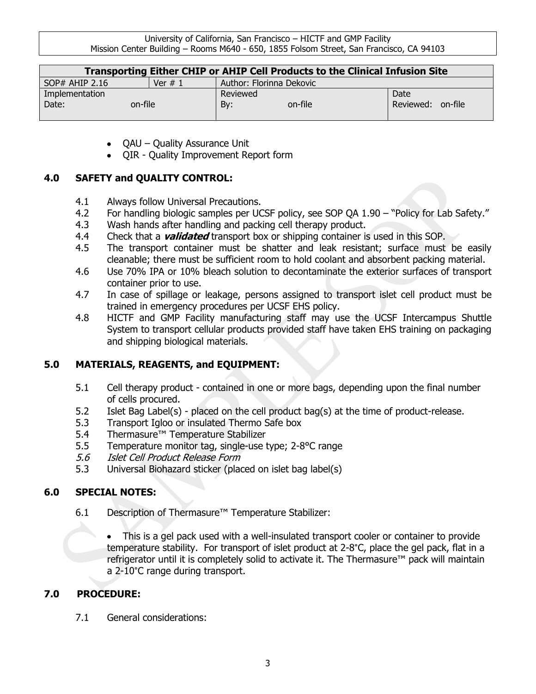| Transporting Either CHIP or AHIP Cell Products to the Clinical Infusion Site |           |                          |                      |
|------------------------------------------------------------------------------|-----------|--------------------------|----------------------|
| $SOP#$ AHIP 2.16                                                             | Ver $# 1$ | Author: Florinna Dekovic |                      |
| Implementation                                                               |           | Reviewed                 | Date                 |
| Date:<br>on-file                                                             |           | on-file<br>By:           | on-file<br>Reviewed: |

- QAU Quality Assurance Unit
- QIR Quality Improvement Report form

# **4.0 SAFETY and QUALITY CONTROL:**

- 4.1 Always follow Universal Precautions.
- 4.2 For handling biologic samples per UCSF policy, see SOP QA 1.90 "Policy for Lab Safety."
- 4.3 Wash hands after handling and packing cell therapy product.
- 4.4 Check that a **validated** transport box or shipping container is used in this SOP.
- 4.5 The transport container must be shatter and leak resistant; surface must be easily cleanable; there must be sufficient room to hold coolant and absorbent packing material.
- 4.6 Use 70% IPA or 10% bleach solution to decontaminate the exterior surfaces of transport container prior to use.
- 4.7 In case of spillage or leakage, persons assigned to transport islet cell product must be trained in emergency procedures per UCSF EHS policy.
- 4.8 HICTF and GMP Facility manufacturing staff may use the UCSF Intercampus Shuttle System to transport cellular products provided staff have taken EHS training on packaging and shipping biological materials.

# **5.0 MATERIALS, REAGENTS, and EQUIPMENT:**

- 5.1 Cell therapy product contained in one or more bags, depending upon the final number of cells procured.
- 5.2 Islet Bag Label(s) placed on the cell product bag(s) at the time of product-release.
- 5.3 Transport Igloo or insulated Thermo Safe box
- 5.4 Thermasure™ Temperature Stabilizer
- 5.5 Temperature monitor tag, single-use type; 2-8°C range
- 5.6 Islet Cell Product Release Form
- 5.3 Universal Biohazard sticker (placed on islet bag label(s)

# **6.0 SPECIAL NOTES:**

6.1 Description of Thermasure™ Temperature Stabilizer:

This is a gel pack used with a well-insulated transport cooler or container to provide temperature stability. For transport of islet product at 2-8˚C, place the gel pack, flat in a refrigerator until it is completely solid to activate it. The Thermasure™ pack will maintain a 2-10˚C range during transport.

# **7.0 PROCEDURE:**

7.1 General considerations: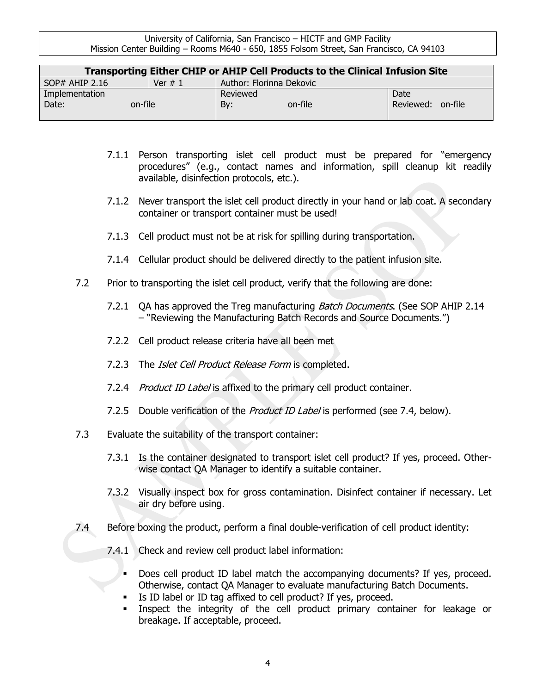| Transporting Either CHIP or AHIP Cell Products to the Clinical Infusion Site |           |                          |                   |  |
|------------------------------------------------------------------------------|-----------|--------------------------|-------------------|--|
| $SOP#$ AHIP 2.16                                                             | Ver $# 1$ | Author: Florinna Dekovic |                   |  |
| Implementation                                                               |           | Reviewed                 | Date              |  |
| Date:<br>on-file                                                             |           | By:<br>on-file           | Reviewed: on-file |  |
|                                                                              |           |                          |                   |  |

- 7.1.1 Person transporting islet cell product must be prepared for "emergency procedures" (e.g., contact names and information, spill cleanup kit readily available, disinfection protocols, etc.).
- 7.1.2 Never transport the islet cell product directly in your hand or lab coat. A secondary container or transport container must be used!
- 7.1.3 Cell product must not be at risk for spilling during transportation.
- 7.1.4 Cellular product should be delivered directly to the patient infusion site.
- 7.2 Prior to transporting the islet cell product, verify that the following are done:
	- 7.2.1 OA has approved the Treg manufacturing *Batch Documents*. (See SOP AHIP 2.14 – "Reviewing the Manufacturing Batch Records and Source Documents.")
	- 7.2.2 Cell product release criteria have all been met
	- 7.2.3 The *Islet Cell Product Release Form* is completed.
	- 7.2.4 Product ID Label is affixed to the primary cell product container.
	- 7.2.5 Double verification of the *Product ID Label* is performed (see 7.4, below).
- 7.3 Evaluate the suitability of the transport container:
	- 7.3.1 Is the container designated to transport islet cell product? If yes, proceed. Otherwise contact QA Manager to identify a suitable container.
	- 7.3.2 Visually inspect box for gross contamination. Disinfect container if necessary. Let air dry before using.
- 7.4 Before boxing the product, perform a final double-verification of cell product identity:
	- 7.4.1 Check and review cell product label information:
		- Does cell product ID label match the accompanying documents? If yes, proceed. Otherwise, contact QA Manager to evaluate manufacturing Batch Documents.
		- If Is ID label or ID tag affixed to cell product? If yes, proceed.
		- Inspect the integrity of the cell product primary container for leakage or breakage. If acceptable, proceed.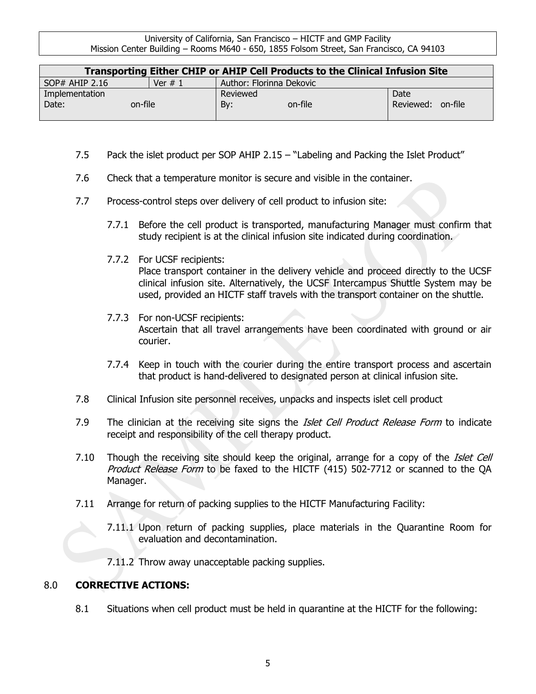| Transporting Either CHIP or AHIP Cell Products to the Clinical Infusion Site |           |                          |                      |
|------------------------------------------------------------------------------|-----------|--------------------------|----------------------|
| $SOP#$ AHIP 2.16                                                             | Ver $# 1$ | Author: Florinna Dekovic |                      |
| Implementation                                                               |           | Reviewed                 | Date                 |
| Date:<br>on-file                                                             |           | By:<br>on-file           | on-file<br>Reviewed: |
|                                                                              |           |                          |                      |

- 7.5 Pack the islet product per SOP AHIP 2.15 "Labeling and Packing the Islet Product"
- 7.6 Check that a temperature monitor is secure and visible in the container.
- 7.7 Process-control steps over delivery of cell product to infusion site:
	- 7.7.1 Before the cell product is transported, manufacturing Manager must confirm that study recipient is at the clinical infusion site indicated during coordination.
	- 7.7.2 For UCSF recipients: Place transport container in the delivery vehicle and proceed directly to the UCSF clinical infusion site. Alternatively, the UCSF Intercampus Shuttle System may be used, provided an HICTF staff travels with the transport container on the shuttle.
	- 7.7.3 For non-UCSF recipients: Ascertain that all travel arrangements have been coordinated with ground or air courier.
	- 7.7.4 Keep in touch with the courier during the entire transport process and ascertain that product is hand-delivered to designated person at clinical infusion site.
- 7.8 Clinical Infusion site personnel receives, unpacks and inspects islet cell product
- 7.9 The clinician at the receiving site signs the *Islet Cell Product Release Form* to indicate receipt and responsibility of the cell therapy product.
- 7.10 Though the receiving site should keep the original, arrange for a copy of the *Islet Cell* Product Release Form to be faxed to the HICTF (415) 502-7712 or scanned to the QA Manager.
- 7.11 Arrange for return of packing supplies to the HICTF Manufacturing Facility:
	- 7.11.1 Upon return of packing supplies, place materials in the Quarantine Room for evaluation and decontamination.
	- 7.11.2 Throw away unacceptable packing supplies.

#### 8.0 **CORRECTIVE ACTIONS:**

8.1 Situations when cell product must be held in quarantine at the HICTF for the following: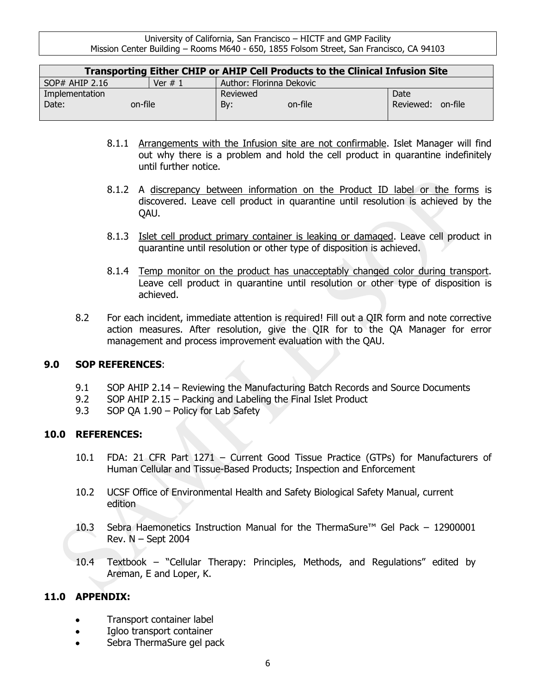| Transporting Either CHIP or AHIP Cell Products to the Clinical Infusion Site |          |                          |                      |
|------------------------------------------------------------------------------|----------|--------------------------|----------------------|
| $SOP#$ AHIP 2.16                                                             | Ver $#1$ | Author: Florinna Dekovic |                      |
| Implementation                                                               |          | Reviewed                 | Date                 |
| Date:<br>on-file                                                             |          | Bv:<br>on-file           | on-file<br>Reviewed: |
|                                                                              |          |                          |                      |

- 8.1.1 Arrangements with the Infusion site are not confirmable. Islet Manager will find out why there is a problem and hold the cell product in quarantine indefinitely until further notice.
- 8.1.2 A discrepancy between information on the Product ID label or the forms is discovered. Leave cell product in quarantine until resolution is achieved by the QAU.
- 8.1.3 Islet cell product primary container is leaking or damaged. Leave cell product in quarantine until resolution or other type of disposition is achieved.
- 8.1.4 Temp monitor on the product has unacceptably changed color during transport. Leave cell product in quarantine until resolution or other type of disposition is achieved.
- 8.2 For each incident, immediate attention is required! Fill out a QIR form and note corrective action measures. After resolution, give the QIR for to the QA Manager for error management and process improvement evaluation with the QAU.

#### **9.0 SOP REFERENCES**:

- 9.1 SOP AHIP 2.14 Reviewing the Manufacturing Batch Records and Source Documents
- 9.2 SOP AHIP 2.15 Packing and Labeling the Final Islet Product
- 9.3 SOP QA 1.90 Policy for Lab Safety

#### **10.0 REFERENCES:**

- 10.1 FDA: 21 CFR Part 1271 Current Good Tissue Practice (GTPs) for Manufacturers of Human Cellular and Tissue-Based Products; Inspection and Enforcement
- 10.2 UCSF Office of Environmental Health and Safety Biological Safety Manual, current edition
- 10.3 Sebra Haemonetics Instruction Manual for the ThermaSure™ Gel Pack 12900001 Rev. N – Sept 2004
- 10.4 Textbook "Cellular Therapy: Principles, Methods, and Regulations" edited by Areman, E and Loper, K.

#### **11.0 APPENDIX:**

- Transport container label
- Igloo transport container
- Sebra ThermaSure gel pack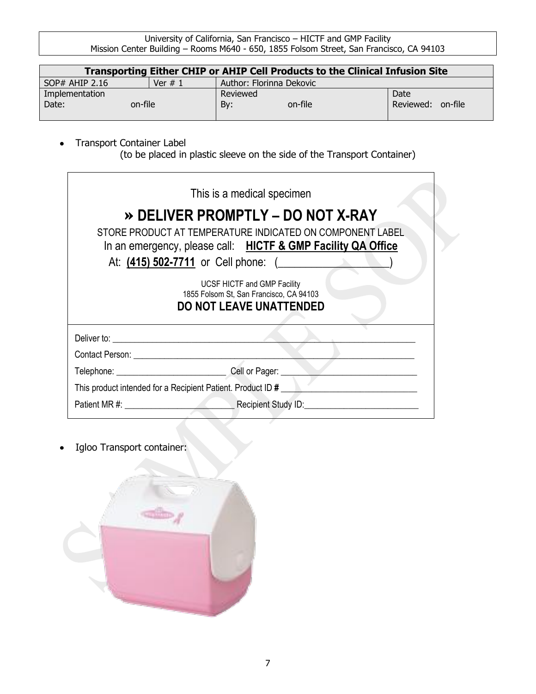| Transporting Either CHIP or AHIP Cell Products to the Clinical Infusion Site |           |                          |           |         |
|------------------------------------------------------------------------------|-----------|--------------------------|-----------|---------|
| $SOP#$ AHIP 2.16                                                             | Ver $# 1$ | Author: Florinna Dekovic |           |         |
| Implementation                                                               |           | Reviewed                 | Date      |         |
| Date:<br>on-file                                                             |           | By:<br>on-file           | Reviewed: | on-file |
|                                                                              |           |                          |           |         |

Transport Container Label  $\bullet$ (to be placed in plastic sleeve on the side of the Transport Container)

| This is a medical specimen                                                                                                |
|---------------------------------------------------------------------------------------------------------------------------|
| » DELIVER PROMPTLY - DO NOT X-RAY                                                                                         |
| STORE PRODUCT AT TEMPERATURE INDICATED ON COMPONENT LABEL<br>In an emergency, please call: HICTF & GMP Facility QA Office |
| At: (415) 502-7711 or Cell phone: (                                                                                       |
| UCSF HICTF and GMP Facility<br>1855 Folsom St, San Francisco, CA 94103<br><b>DO NOT LEAVE UNATTENDED</b>                  |
|                                                                                                                           |
|                                                                                                                           |
|                                                                                                                           |
|                                                                                                                           |
|                                                                                                                           |

Igloo Transport container: $\bullet$